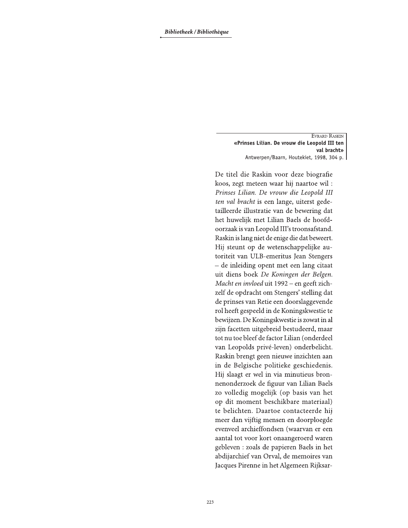EVRARD RASKIN «Prinses Lilian. De vrouw die Leopold III ten val bracht» Antwerpen/Baarn, Houtekiet, 1998, 304 p.

De titel die Raskin voor deze biografie koos, zegt meteen waar hij naartoe wil : Prinses Lilian. De vrouw die Leopold III ten val bracht is een lange, uiterst gedetailleerde illustratie van de bewering dat het huwelijk met Lilian Baels de hoofdoorzaak is van Leopold III's troonsafstand. Raskin is lang niet de enige die dat beweert. Hij steunt op de wetenschappelijke autoriteit van ULB-emeritus Jean Stengers - de inleiding opent met een lang citaat uit diens boek De Koningen der Belgen. Macht en invloed uit 1992 – en geeft zichzelf de opdracht om Stengers' stelling dat de prinses van Retie een doorslaggevende rol heeft gespeeld in de Koningskwestie te bewijzen. De Koningskwestie is zowat in al zijn facetten uitgebreid bestudeerd, maar tot nu toe bleef de factor Lilian (onderdeel van Leopolds privé-leven) onderbelicht. Raskin brengt geen nieuwe inzichten aan in de Belgische politieke geschiedenis. Hij slaagt er wel in via minutieus bronnenonderzoek de figuur van Lilian Baels zo volledig mogelijk (op basis van het op dit moment beschikbare materiaal) te belichten. Daartoe contacteerde hij meer dan vijftig mensen en doorploegde evenveel archieffondsen (waarvan er een aantal tot voor kort onaangeroerd waren gebleven : zoals de papieren Baels in het abdijarchief van Orval, de memoires van Jacques Pirenne in het Algemeen Rijksar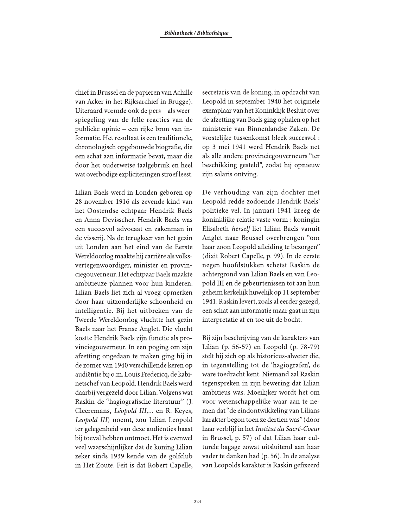chief in Brussel en de papieren van Achille van Acker in het Rijksarchief in Brugge). Uiteraard vormde ook de pers - als weerspiegeling van de felle reacties van de publieke opinie – een rijke bron van informatie. Het resultaat is een traditionele, chronologisch opgebouwde biografie, die een schat aan informatie bevat, maar die door het ouderwetse taalgebruik en heel wat overbodige expliciteringen stroef leest.

Lilian Baels werd in Londen geboren op 28 november 1916 als zevende kind van het Oostendse echtpaar Hendrik Baels en Anna Devisscher. Hendrik Baels was een succesvol advocaat en zakenman in de visserij. Na de terugkeer van het gezin uit Londen aan het eind van de Eerste Wereldoorlog maakte hij carrière als volksvertegenwoordiger, minister en provinciegouverneur. Het echtpaar Baels maakte ambitieuze plannen voor hun kinderen. Lilian Baels liet zich al vroeg opmerken door haar uitzonderlijke schoonheid en intelligentie. Bij het uitbreken van de Tweede Wereldoorlog vluchtte het gezin Baels naar het Franse Anglet. Die vlucht kostte Hendrik Baels zijn functie als provinciegouverneur. In een poging om zijn afzetting ongedaan te maken ging hij in de zomer van 1940 verschillende keren op audiëntie bij o.m. Louis Fredericq, de kabinetschef van Leopold. Hendrik Baels werd daarbij vergezeld door Lilian. Volgens wat Raskin de "hagiografische literatuur" (J. Cleeremans, Léopold III,... en R. Keyes, Leopold III) noemt, zou Lilian Leopold ter gelegenheid van deze audiënties haast bij toeval hebben ontmoet. Het is evenwel veel waarschijnlijker dat de koning Lilian zeker sinds 1939 kende van de golfclub in Het Zoute. Feit is dat Robert Capelle, secretaris van de koning, in opdracht van Leopold in september 1940 het originele exemplaar van het Koninklijk Besluit over de afzetting van Baels ging ophalen op het ministerie van Binnenlandse Zaken. De vorstelijke tussenkomst bleek succesvol: op 3 mei 1941 werd Hendrik Baels net als alle andere provinciegouverneurs "ter beschikking gesteld", zodat hij opnieuw zijn salaris ontving.

De verhouding van zijn dochter met Leopold redde zodoende Hendrik Baels' politieke vel. In januari 1941 kreeg de koninklijke relatie vaste vorm : koningin Elisabeth herself liet Lilian Baels vanuit Anglet naar Brussel overbrengen "om haar zoon Leopold afleiding te bezorgen" (dixit Robert Capelle, p. 99). In de eerste negen hoofdstukken schetst Raskin de achtergrond van Lilian Baels en van Leopold III en de gebeurtenissen tot aan hun geheim kerkelijk huwelijk op 11 september 1941. Raskin levert, zoals al eerder gezegd, een schat aan informatie maar gaat in zijn interpretatie af en toe uit de bocht.

Bij zijn beschrijving van de karakters van Lilian (p. 56-57) en Leopold (p. 78-79) stelt hij zich op als historicus-alweter die, in tegenstelling tot de 'hagiografen', de ware toedracht kent. Niemand zal Raskin tegenspreken in zijn bewering dat Lilian ambitieus was. Moeilijker wordt het om voor wetenschappelijke waar aan te nemen dat "de eindontwikkeling van Lilians karakter begon toen ze dertien was" (door haar verblijf in het Institut du Sacré-Coeur in Brussel, p. 57) of dat Lilian haar culturele bagage zowat uitsluitend aan haar vader te danken had (p. 56). In de analyse van Leopolds karakter is Raskin gefixeerd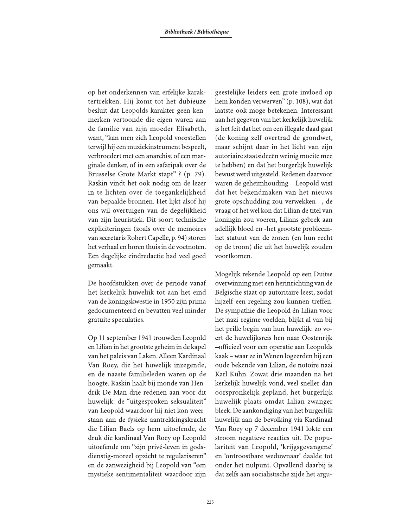op het onderkennen van erfelijke karaktertrekken. Hij komt tot het dubieuze besluit dat Leopolds karakter geen kenmerken vertoonde die eigen waren aan de familie van zijn moeder Elisabeth, want, "kan men zich Leopold voorstellen terwijl hij een muziekinstrument bespeelt, verbroedert met een anarchist of een marginale denker, of in een safaripak over de Brusselse Grote Markt stapt"? (p. 79). Raskin vindt het ook nodig om de lezer in te lichten over de toegankelijkheid van bepaalde bronnen. Het lijkt alsof hij ons wil overtuigen van de degelijkheid van zijn heuristiek. Dit soort technische expliciteringen (zoals over de memoires van secretaris Robert Capelle, p. 94) storen het verhaal en horen thuis in de voetnoten. Een degelijke eindredactie had veel goed gemaakt.

De hoofdstukken over de periode vanaf het kerkelijk huwelijk tot aan het eind van de koningskwestie in 1950 zijn prima gedocumenteerd en bevatten veel minder gratuite speculaties.

Op 11 september 1941 trouwden Leopold en Lilian in het grootste geheim in de kapel van het paleis van Laken. Alleen Kardinaal Van Roey, die het huwelijk inzegende, en de naaste familieleden waren op de hoogte. Raskin haalt bij monde van Hendrik De Man drie redenen aan voor dit huwelijk: de "uitgesproken seksualiteit" van Leopold waardoor hij niet kon weerstaan aan de fysieke aantrekkingskracht die Lilian Baels op hem uitoefende, de druk die kardinaal Van Roey op Leopold uitoefende om "zijn privé-leven in godsdienstig-moreel opzicht te regulariseren" en de aanwezigheid bij Leopold van "een mystieke sentimentaliteit waardoor zijn

geestelijke leiders een grote invloed op hem konden verwerven" (p. 108), wat dat laatste ook moge betekenen. Interessant aan het gegeven van het kerkelijk huwelijk is het feit dat het om een illegale daad gaat (de koning zelf overtrad de grondwet, maar schijnt daar in het licht van zijn autoriaire staatsideeën weinig moeite mee te hebben) en dat het burgerlijk huwelijk bewust werd uitgesteld. Redenen daarvoor waren de geheimhouding - Leopold wist dat het bekendmaken van het nieuws grote opschudding zou verwekken -, de vraag of het wel kon dat Lilian de titel van koningin zou voeren, Lilians gebrek aan adellijk bloed en -het grootste probleemhet statuut van de zonen (en hun recht op de troon) die uit het huwelijk zouden voortkomen.

Mogelijk rekende Leopold op een Duitse overwinning met een herinrichting van de Belgische staat op autoritaire leest, zodat hijzelf een regeling zou kunnen treffen. De sympathie die Leopold én Lilian voor het nazi-regime voelden, blijkt al van bij het prille begin van hun huwelijk: zo voert de huwelijksreis hen naar Oostenrijk -officieel voor een operatie aan Leopolds kaak – waar ze in Wenen logeerden bij een oude bekende van Lilian, de notoire nazi Karl Kühn. Zowat drie maanden na het kerkelijk huwelijk vond, veel sneller dan oorspronkelijk gepland, het burgerlijk huwelijk plaats omdat Lilian zwanger bleek. De aankondiging van het burgerlijk huwelijk aan de bevolking via Kardinaal Van Roey op 7 december 1941 lokte een stroom negatieve reacties uit. De populariteit van Leopold, 'krijgsgevangene' en 'ontroostbare weduwnaar' daalde tot onder het nulpunt. Opvallend daarbij is dat zelfs aan socialistische zijde het argu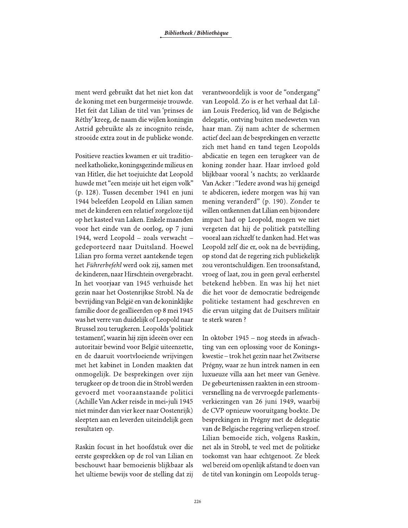ment werd gebruikt dat het niet kon dat de koning met een burgermeisje trouwde. Het feit dat Lilian de titel van 'prinses de Réthy' kreeg, de naam die wijlen koningin Astrid gebruikte als ze incognito reisde, strooide extra zout in de publieke wonde.

Positieve reacties kwamen er uit traditioneel katholieke, koningsgezinde milieus en van Hitler, die het toejuichte dat Leopold huwde met "een meisje uit het eigen volk" (p. 128). Tussen december 1941 en juni 1944 beleefden Leopold en Lilian samen met de kinderen een relatief zorgeloze tijd op het kasteel van Laken. Enkele maanden voor het einde van de oorlog, op 7 juni 1944, werd Leopold - zoals verwacht gedeporteerd naar Duitsland. Hoewel Lilian pro forma verzet aantekende tegen het Führerbefehl werd ook zij, samen met de kinderen, naar Hirschtein overgebracht. In het voorjaar van 1945 verhuisde het gezin naar het Oostenrijkse Strobl. Na de bevrijding van België en van de koninklijke familie door de geallieerden op 8 mei 1945 was het verre van duidelijk of Leopold naar Brussel zou terugkeren. Leopolds 'politiek testament', waarin hij zijn ideeën over een autoritair bewind voor België uiteenzette, en de daaruit voortvloeiende wrijvingen met het kabinet in Londen maakten dat onmogelijk. De besprekingen over zijn terugkeer op de troon die in Strobl werden gevoerd met vooraanstaande politici (Achille Van Acker reisde in mei-juli 1945 niet minder dan vier keer naar Oostenrijk) sleepten aan en leverden uiteindelijk geen resultaten op.

Raskin focust in het hoofdstuk over die eerste gesprekken op de rol van Lilian en beschouwt haar bemoeienis blijkbaar als het ultieme bewijs voor de stelling dat zij

verantwoordelijk is voor de "ondergang" van Leopold. Zo is er het verhaal dat Lilian Louis Fredericq, lid van de Belgische delegatie, ontving buiten medeweten van haar man. Zij nam achter de schermen actief deel aan de besprekingen en verzette zich met hand en tand tegen Leopolds abdicatie en tegen een terugkeer van de koning zonder haar. Haar invloed gold blijkbaar vooral 's nachts; zo verklaarde Van Acker: "Iedere avond was hij geneigd te abdiceren, iedere morgen was hij van mening veranderd" (p. 190). Zonder te willen ontkennen dat Lilian een bijzondere impact had op Leopold, mogen we niet vergeten dat hij de politiek patstelling vooral aan zichzelf te danken had. Het was Leopold zelf die er, ook na de bevrijding, op stond dat de regering zich publiekelijk zou verontschuldigen. Een troonsafstand, vroeg of laat, zou in geen geval eerherstel betekend hebben. En was hij het niet die het voor de democratie bedreigende politieke testament had geschreven en die ervan uitging dat de Duitsers militair te sterk waren?

In oktober 1945 – nog steeds in afwachting van een oplossing voor de Koningskwestie – trok het gezin naar het Zwitserse Prégny, waar ze hun intrek namen in een luxueuze villa aan het meer van Genève. De gebeurtenissen raakten in een stroomversnelling na de vervroegde parlementsverkiezingen van 26 juni 1949, waarbij de CVP opnieuw vooruitgang boekte. De besprekingen in Prégny met de delegatie van de Belgische regering verliepen stroef. Lilian bemoeide zich, volgens Raskin, net als in Strobl, te veel met de politieke toekomst van haar echtgenoot. Ze bleek wel bereid om openlijk afstand te doen van de titel van koningin om Leopolds terug